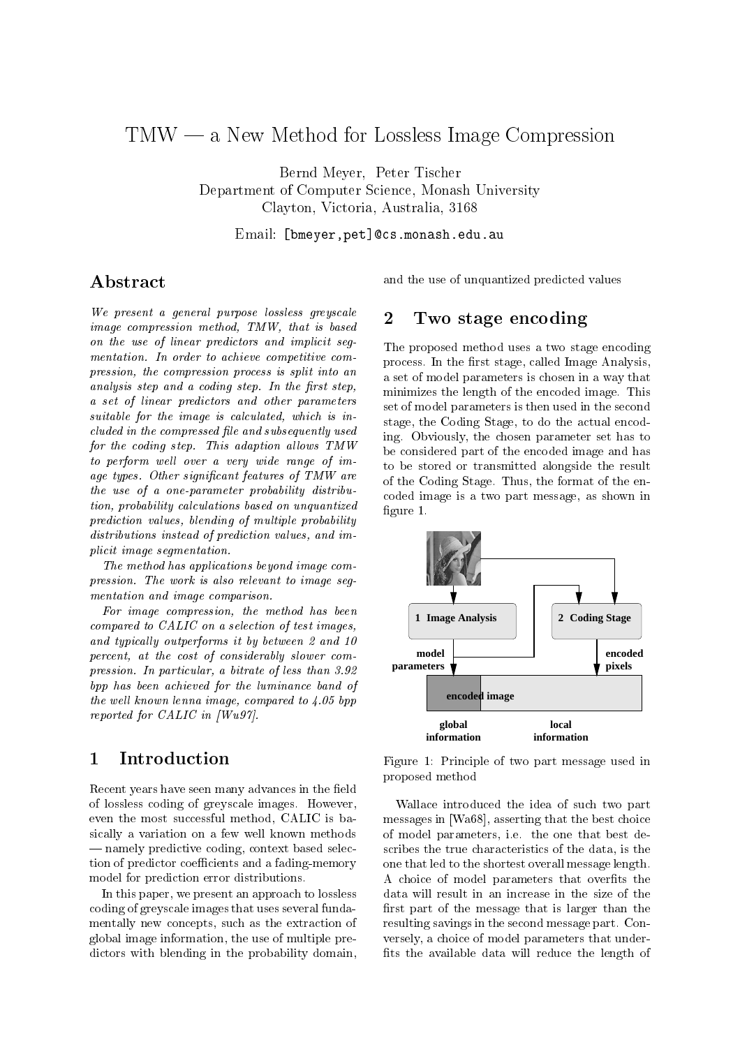# The New Method for Lossley Image Companies Image Companies Image Companies Image Companies Image Companies Image Companies Image Companies Image Companies Image Companies Image Companies Image Companies Image Companies Ima

Bernd Meyer Peter Tischer Department of Computer Science, Monash University Clayton Victoria Australia -

Email bmeyer-petcsmonasheduau

# A bstract

We present a general purpose lossless greyscale image compression method,  $TMW$ , that is based on the use of linear predictors and implicit segmentation. In order to achieve competitive compression, the compression process is split into an analysis step and a coding step. In the first step, a set of linear predictors and other parameters suitable for the image is calculated, which is in $cluded in the compressed file and subsequently used$ for the coding step. This adaption allows  $TMW$ to perform well over a very wide range of  $im$ age types. Other significant features of  $T M W$  are the use of a one-parameter probability distribution, probability calculations based on unquantized prediction values, blending of multiple probability  $distributions instead of prediction values, and im$ plicit image segmentation

The method has applications beyond image compression. The work is also relevant to image seqmentation and image comparison

For image compression, the method has been compared to CALIC on a selection of test images and typically outperforms it by between  $2$  and  $10$ percent, at the cost of considerably slower compression. In particular, a bitrate of less than  $3.92$ bpp has been achieved for the luminance band of the well compared to the compared to the compared to  $\mathbf{r}$ reported for  $CALIC$  in  $|Wu97|$ .

## Introduction  $\mathbf{1}$

Recent years have seen many advances in the field of lossless coding of greyscale imageseven the most successful method, CALIC is basically a variation on a few well known methods - namely predictive coding, context based selection of predictor coefficients and a fading-memory model for prediction error distributions-

In this paper, we present an approach to lossless In this paper we present an approach to lossless the lossless of the contract of the contract of the contract o coding of greyscale images that uses several funda mentally new concepts, such as the extraction of global image information the use of multiple pre dictors with blending in the probability domain,

and the use of unquantized predicted values

## $\overline{2}$ Two stage encoding

 The proposed method uses a two stage encoding process. In the first stage, called Image Analysis, stage, the Coding Stage, to do the actual encod to be stored or transmitted alongside the result coded image is a two part message as shown in a set of model parameters is chosen in a way that minimizes the length of the encoded imageset of model parameters is then used in the second ing- Obviously the chosen parameter set has to be considered part of the encoded image and has the coding stage-format coding the format of the end figure  $1$ .



Figure 1: Principle of two part message used in proposed method

Wallace introduced the idea of such two part  $\mathcal{L}$  as seen as a state that the best choice of the best choices the best choices of the best choices of the best choices of the best choices of the best choices of the best choices of the best choices of the best cho e- the one parameters in the one that best descriptions in the state of the state of the state of the state of scribes the true characteristics of the data is the one that led to the shortest overall message length-A choice of model parameters that overfits the data will result in an increase in the size of the first part of the message that is larger than the resulting savings in the second message part- Con versely, a choice of model parameters that underfits the available data will reduce the length of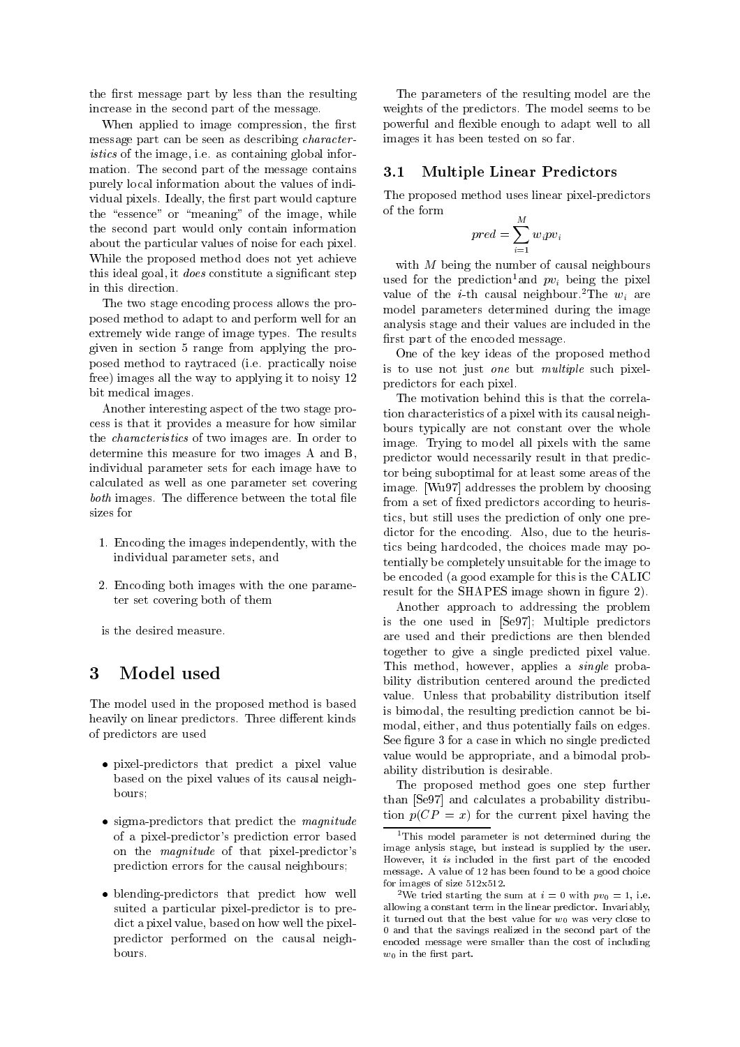the first message part by less than the resulting increase in the second part of the message.

When applied to image compression, the first message part can be seen as describing character- $\mathbf{r}$  is the image in the information  $\mathbf{r}$  as  $\mathbf{r}$  in  $\mathbf{r}$  as  $\mathbf{r}$ mation- The second part of the message contains purely local information about the values of indi vidual pixels- in the rate of the rest part would capture would capture the rest of the rate of the rate of the rate of the rate of the rate of the rate of the rate of the rate of the rate of the rate of the rate of the ra the "essence" or "meaning" of the image, while the second part would only contain information about the particular values of noise for each pixel-While the proposed method does not yet achieve this ideal goal, it *does* constitute a significant step in this direction.

The two stage encoding process allows the pro posed method to adapt to and perform well for an extremely wide range of intervals with the results of image typesgiven in section 5 range from applying the propractically noise is a proposed in the practically noticed in the set of the set of the set of the set of the s free) images all the way to applying it to noisy  $12$ bit medical images.

Another interesting aspect of the two stage pro cess is that it provides a measure for how similar the characteristics of the characteristics of the two images are  $\sim$ determine this measure for two images A and B individual parameter sets for each image have to calculated as well as one parameter set covering both images-between the total left the total left the total left the total left the total left total left to t sizes for

- Encoding the images independently with the individual parameter sets, and
- Encoding both images with the one parame ter set covering both of them
- is the desired measure.

The model used in the proposed method is based heavily on linear predictors-beautiful predictors-beautiful predictors-beautiful predictors-beautiful predictorsof predictors are used

- pixel-predictors that predict a pixel value based on the pixel values of its causal neigh bours
- $\bullet$  sigma-predictors that predict the *magnitude* of a pixel-predictor's prediction error based on the *magnitude* of that pixel-predictor's prediction errors for the causal neighbours
- blending-predictors that predict how well dict a pixel value, based on how well the pixelpredictor performed on the causal neigh

 images it has been tested on so far-The parameters of the resulting model are the weights of the predictors- from the model seems to be powerful and flexible enough to adapt well to all

### -Multiple Linear Predictors

The proposed method uses linear pixel-predictors

$$
pred = \sum_{i=1}^{M} w_i p v_i
$$

with  $M$  being the number of causal neighbours used for the prediction-and  $pv_i$  being the pixel value of the *i*-th causal neighbour. The  $w_i$  are model parameters determined during the image analysis stage and their values are included in the first part of the encoded message.

One of the key ideas of the proposed method is to use not just one but multiple such pixel predictors for each pixel-

The motivation behind this is that the correla tion characteristics of a pixel with its causal neigh bours typically are not constant over the whole image- Trying to model all pixels with the same predictor would necessarily result in that predic tor being suboptimal for at least some areas of the image-image-image-image-image-image-image-image-image-image-image-image-image-image-image-image-image-image-im from a set of fixed predictors according to heuristics, but still uses the prediction of only one predictor for the encoding-the form in the theoretic contracts tics being hardcoded, the choices made may potentially be completely unsuitable for the image to be encoded (a good example for this is the CALIC result for the SHAPES image shown in figure 2).

Another approach to addressing the problem is the one used in  $[Se97]$ ; Multiple predictors are used and their predictions are then blended together to give a single predicted pixel value-This method, however, applies a *single* probability distribution centered around the predicted value-between the probability distribution in the probability distribution in the probability distribution in the probability of the probability of the probability of the probability of the probability of the probability o is bimodal, the resulting prediction cannot be bimodal, either, and thus potentially fails on edges. See figure 3 for a case in which no single predicted value would be appropriate, and a bimodal probability distribution is desirable-

The proposed method goes one step further than  $[Se97]$  and calculates a probability distribution  $p(CP = x)$  for the current pixel having the

<sup>&</sup>lt;sup>1</sup>This model parameter is not determined during the image anlysis stage, but instead is supplied by the user. However, it is included in the first part of the encoded message-of- and in the mass been found to be a good choice for images of size  $512x512$ .

suited a particular pixel-predictor is to pre-<br>it turned out that the best value for  $w_0$  was very close to - we tried starting the sum at  $i = 0$  with  $pv_0 = 1$ , i.e. allowing a constant term in the linear predictor-constantly t it turned out that the best value for w was very close to and that the savings realized in the second part of the encoded message were smaller than the cost of including  $w_0$  in the first part.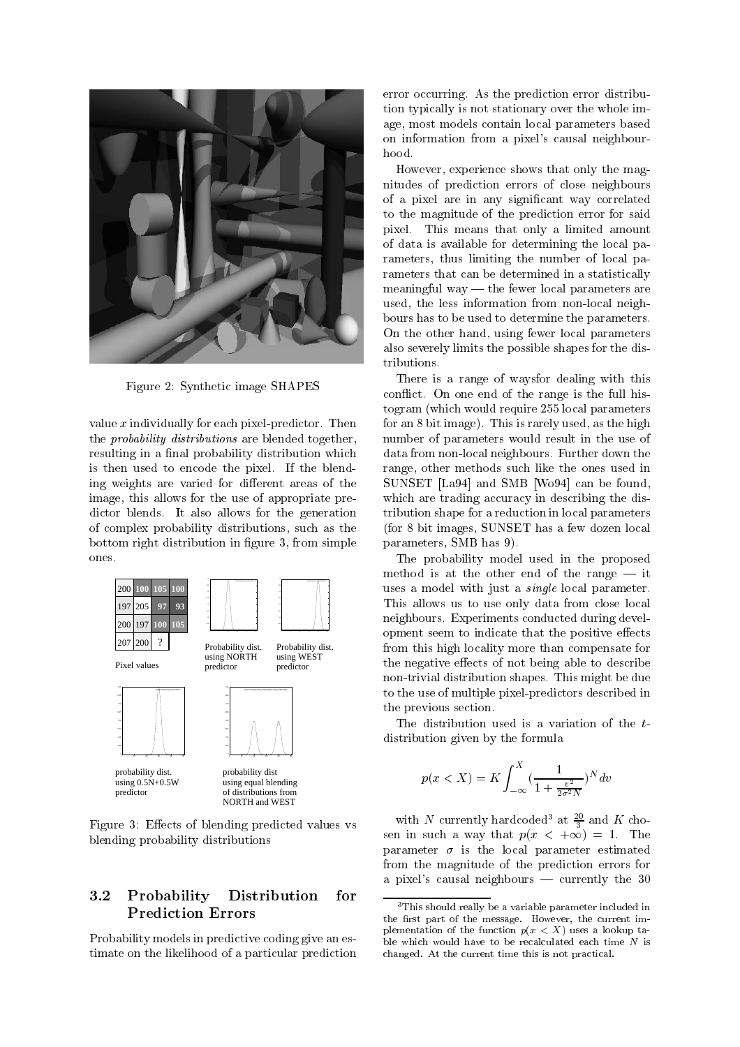

Figure 2: Synthetic image SHAPES

value x individually for each pixelpredictor- fraction-  $\sim$ the *probability distributions* are blended together, resulting in a final probability distribution which is the pixel-blend to encode the pixel-blend to encode the pixel-blend to encode the pixel-blend to encode the ing weights are varied for different areas of the image, this allows for the use of appropriate predictor blends-blends-blends-blends-blends-blends-blends-blends-blends-blends-blends-blends-blends-blends-blends-blends-blends-blends-blends-blends-blends-blends-blends-blends-blends-blends-blends-blends-blends-blends-blen of complex probability distributions, such as the bottom right distribution in figure 3, from simple ones-



Figure 3: Effects of blending predicted values vs blending probability distributions

## Probability Distribution for Prediction Errors

Probability models in predictive coding give an es timate on the likelihood of a particular prediction

error concerning- can change prediction error distribution and tion typically is not stationary over the whole im age, most models contain local parameters based on information from a pixel's causal neighbourhood.

However, experience shows that only the magnitudes of prediction errors of close neighbours of a pixel are in any signicant way correlated to the magnitude of the prediction error for said pixel- This means that only a limited amount on the only and the second and the second and the second and the s of data is available for determining the local pa rameters, thus limiting the number of local parameters that can be determined in a statistically meaningful way  $-$  the fewer local parameters are used, the less information from non-local neighbours has to be used to determine the parameters. On the other hand, using fewer local parameters also severely limits the possible shapes for the dis tributions-

There is a range of waysfor dealing with this conictive of the range is the full full full full his the full  $\sim$ togram (which would require 255 local parameters for any  $\epsilon$  is rarely  $\epsilon$  is the form in the function  $\epsilon$  as the function  $\epsilon$ number of parameters would result in the use of data from nonlocal neighbours-down the  $\mathbf{f}$ range, other methods such like the ones used in SUNSET  $[La94]$  and SMB  $[Wo94]$  can be found, which are trading accuracy in describing the distribution shape for a reduction in local parameters (for 8 bit images, SUNSET has a few dozen local parameters, SMB has 9).

The probability model used in the proposed method is at the other end of the range  $-$  it uses a model with just a *single* local parameter. This allows us to use only data from close local neighbours- Experiments conducted during devel opment seem to indicate that the positive effects from this high locality more than compensate for the negative effects of not being able to describe nontrivial distribution shapes- This might be due to the use of multiple pixel-predictors described in the previous section.

The distribution used is a variation of the  $t$ distribution given by the formula

$$
p(x < X) = K \int_{-\infty}^{X} \left(\frac{1}{1 + \frac{v^2}{2\sigma^2 N}}\right)^N dv
$$

with *N* currently hardcoded at  $\frac{1}{3}$  and *K* chosen in such a way that paper is a great sense in the such a way that the such a way of the such a sense in the parameter - is the local parameter - is the local parameter estimated by the local parameter  $\mathcal{C}$ from the magnitude of the prediction errors for a pixel's causal neighbours  $\sim$  currently the 30

 $3$ This should really be a variable parameter included in the rst part of the message- However the current im plementation of the function <sup>p</sup>xX uses a lookup ta ble which would have to be recalculated each time  $N$  is changed-current time this issue this note practically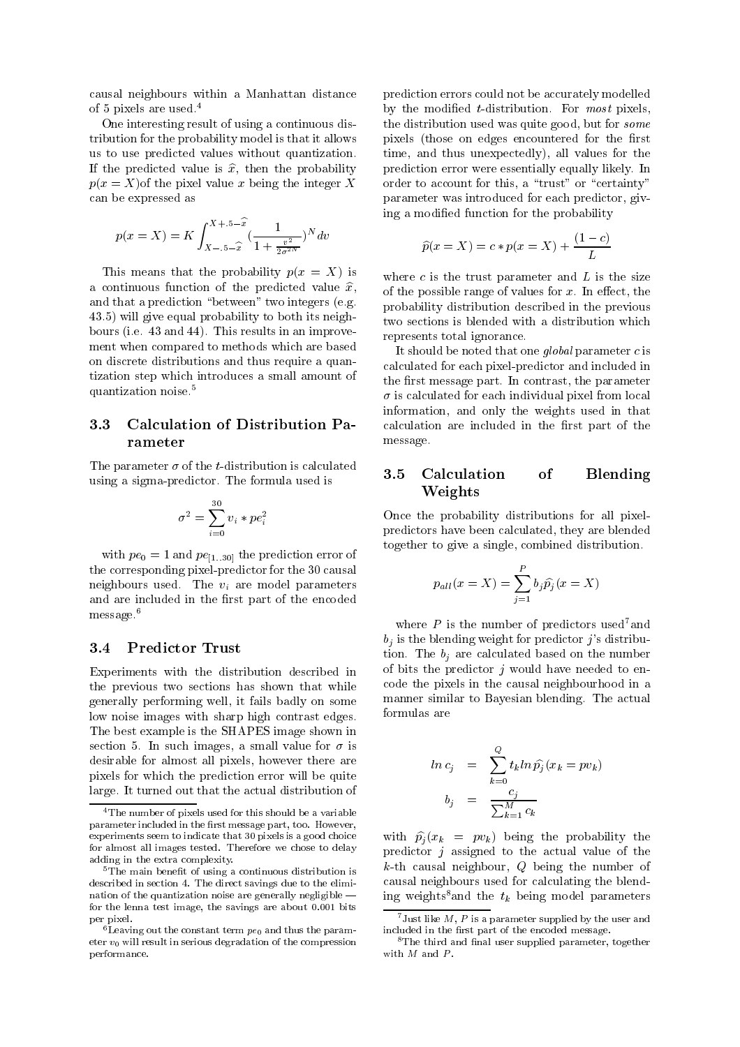causal neighbours within a Manhattan distance of  $\sigma$  pixels are used.

One interesting result of using a continuous dis tribution for the probability model is that it allows us to use predicted values without quantization-If the predicted value is  $\hat{x}$ , then the probability  $p(x = X)$  of the pixel value x being the integer X can be expressed as

$$
p(x = X) = K \int_{X - 0.5 - \hat{x}}^{X + 0.5 - \hat{x}} \left(\frac{1}{1 + \frac{v^2}{2\sigma^2 N}}\right)^N dv
$$

This means that the probability  $p(x = X)$  is a continuous function of the predicted value  $\hat{x}$ , and the prediction of the prediction of the prediction of the prediction of the prediction of the prediction of the prediction of the prediction of the prediction of the prediction of the prediction of the prediction of th 43.5) will give equal probability to both its neighe-e-mail i-mail i-mail i-mail i-mail i-mail i-mail i-mail i-mail i-mail i-mail i-mail i-mail i-mail i-mail i-m ment when compared to methods which are based on discrete distributions and thus require a quan tization step which introduces a small amount of quantization noise-

## - Calculation of Distribution Pa rameter

 $\blacksquare$  . The the two states of the the two states is calculated to  $\blacksquare$ <u>in formula used is seen to see the formula used in the formula used in the formula used is seen that the set of </u>

$$
\sigma^2 = \sum_{i=0}^{30} v_i * pe_i^2
$$

with performance  $\mathbf{r}$  and  $\mathbf{r}$  and  $\mathbf{r}$  and  $\mathbf{r}$  is prediction error of  $\mathbf{r}$ the corresponding pixel-predictor for the 30 causal neighbours used-used-control parameters are parameters of the visit of the visit of the visit of the visit of and are included in the first part of the encoded message-

Experiments with the distribution described in the previous two sections has shown that while generally performing well it fails badly on some low noise images with sharp high contrast edges. The best example is the SHAPES image shown in section is an such images of small values for a small value for  $\sim$ desirable for almost all pixels, however there are pixels for which the prediction error will be quite large- It turned out that the actual distribution of

 time and thus unexpectedly all values for the prediction errors could not be accurately modelled by the modification of the modification-contraction-contractionthe distribution used was quite good, but for *some* pixels (those on edges encountered for the first prediction error were essentially equally likely- In order to account for this, a "trust" or "certainty" parameter was introduced for each predictor, giving a modified function for the probability

$$
\hat{p}(x = X) = c * p(x = X) + \frac{(1 - c)}{L}
$$

 probability distribution described in the previous where  $c$  is the trust parameter and  $L$  is the size of the possible range of values for x- and you are the state of the state of  $\sim$ two sections is blended with a distribution which represents total ignorance.

It should be noted that one global parameter  $c$  is calculated for each pixel-predictor and included in the rst message part- In contrast the parameter - is calculated for each individual pixel from local information, and only the weights used in that calculation are included in the first part of the message-

## - Calculation of Blending Weights

Once the probability distributions for all pixel predictors have been calculated, they are blended together to give a single, combined distribution.

$$
p_{all}(x=X) = \sum_{j=1}^{P} b_j \widehat{p}_j(x=X)
$$

where  $P$  is the number of predictors used<sup>7</sup> and  $b_j$  is the blending weight for predictor j's distribution-bility are calculated based on the number of the number of of bits the predictor  $j$  would have needed to encode the pixels in the causal neighbourhood in a manner similar to Bayesian blending- The actual formulas are

$$
ln c_j = \sum_{k=0}^{Q} t_k ln \hat{p}_j (x_k = pv_k)
$$
  

$$
b_j = \frac{c_j}{\sum_{k=1}^{M} c_k}
$$

with  $\hat{p}_i(x_k = pv_k)$  being the probability the predictor  $j$  assigned to the actual value of the  $k$ -th causal neighbour,  $Q$  being the number of causal neighbours used for calculating the blend ing weights<sup>8</sup> and the  $t_k$  being model parameters

<sup>&</sup>lt;sup>4</sup>The number of pixels used for this should be a variable parameter included in the rst message part too- However experiments seem to indicate that 30 pixels is a good choice for almost all images tested- Therefore we chose to delay adding in the extra complexity-

 $5$ The main benefit of using a continuous distribution is  $\mathcal{L}$ nation of the quantization noise are generally negligible for the lenna test image the savings are about - bits per pixel.

 $6$  Leaving out the constant term  $pe_0$  and thus the parameter  $v_0$  will result in serious degradation of the compression performance-

 $7$ Just like M, P is a parameter supplied by the user and included in the first part of the encoded message.

 ${}^{8}$ The third and final user supplied parameter, together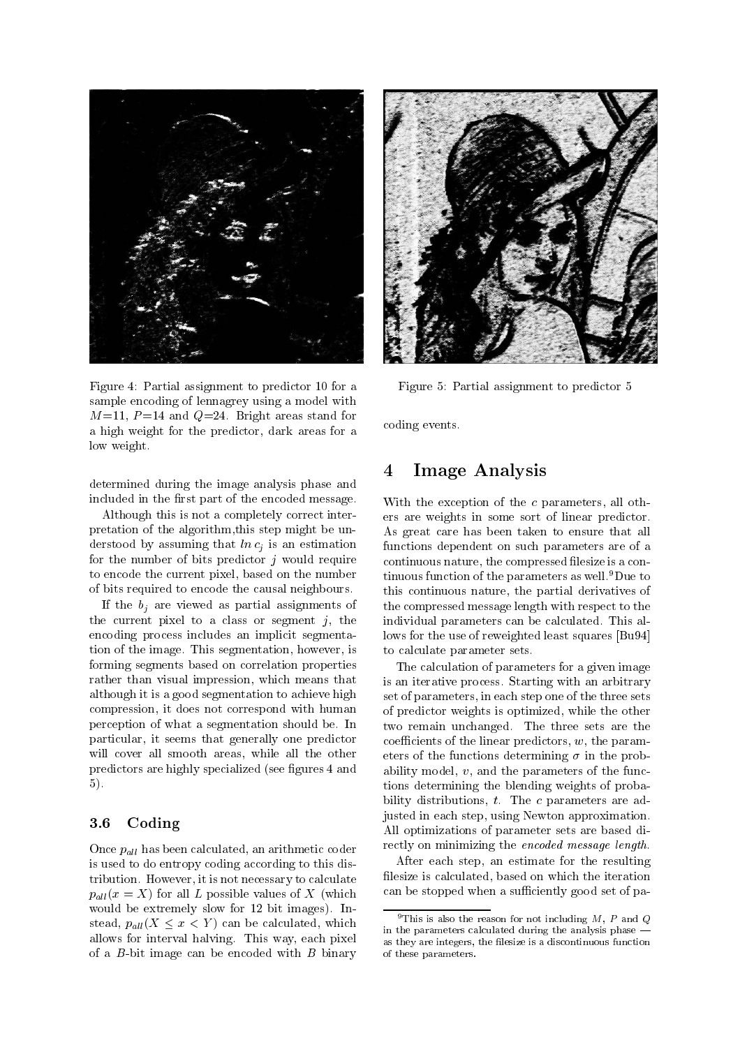

Figure 4: Partial assignment to predictor 10 for a sample encoding of lennagrey using a model with  $M$  and  $M$  and  $M$  are as stand for  $M$  and  $M$  are as stand for  $M$  and  $M$  are as stand for  $M$  and  $M$  and  $M$  and  $M$  and  $M$  are as standard for  $M$  and  $M$  and  $M$  and  $M$  and  $M$  and  $M$  and  $M$  and  $M$  and  $M$  an a high weight for the predictor, dark areas for a low weight.

determined during the image analysis phase and included in the first part of the encoded message.

Although this is not a completely correct inter pretation of the algorithm, this step might be understood by assuming that  $ln c_i$  is an estimation for the number of bits predictor  $j$  would require to encode the current pixel, based on the number of bits required to encode the causal neighbours-

If the  $b_i$  are viewed as partial assignments of the current pixel to a class or segment  $j$ , the encoding process includes an implicit segmenta  $\mathbf{r}$  the image-dimension of  $\mathbf{r}$  and  $\mathbf{r}$  is sequently in the intervals of  $\mathbf{r}$ forming segments based on correlation properties rather than visual impression, which means that although it is a good segmentation to achieve high compression, it does not correspond with human perception of what a segmentation should be. In particular, it seems that generally one predictor will cover all smooth areas, while all the other predictors are highly specialized (see figures 4 and  $5$ ).

### -Coding

Once  $p_{all}$  has been calculated, an arithmetic coder is used to do entropy coding according to this dis tribution- it is not necessary to calculate  $\mu$  is the calculated the calculated of  $\mu$  $p_{all}(x = X)$  for all L possible values of X (which where  $\mathbf{B}$  is independent for  $\mathbf{B}$  in a bit imagesstead,  $p_{all}(X \leq x \leq Y)$  can be calculated, which allows for interval halving-values, we halve the pixels of the state of the state of the state of the state of of a  $B$ -bit image can be encoded with  $B$  binary



Figure 5: Partial assignment to predictor 5

coding events-

## Image Analysis  $\boldsymbol{4}$

 With the exception of the <sup>c</sup> parameters all oth ers are weights in some sort of linear predictor-As great care has been taken to ensure that all functions dependent on such parameters are of a continuous nature, the compressed filesize is a continuous function of the parameters as well-Due to this continuous nature, the partial derivatives of the compressed message length with respect to the individual parameters can be calculated- This al lows for the use of reweighted least squares [Bu94] to calculate parameter sets.

The community of the time sets are the The calculation of parameters for a given image is an iterative process- and are the process- and arbitrary process- and arbitrary processset of parameters, in each step one of the three sets of predictor weights is optimized, while the other coefficients of the linear predictors,  $w$ , the parameters of the functions determining  $\mathbf{f}$  the problem of the problem  $\mathbf{f}$ ability model,  $v$ , and the parameters of the functions determining the blending weights of proba  $\mathcal{L}$  distributions to the contract of  $\mathcal{L}$  are added to the additional to the contract of  $\mathcal{L}$ justed in each step, using Newton approximation. All optimizations of parameter sets are based di rectly on minimizing the encoded message length.

> After each step, an estimate for the resulting filesize is calculated, based on which the iteration can be stopped when a sufficiently good set of pa-

This is also the reason for not including  $M$ ,  $F$  and  $Q$ in the parameters calculated during the analysis phase as they are integers, the filesize is a discontinuous function of these parameters-